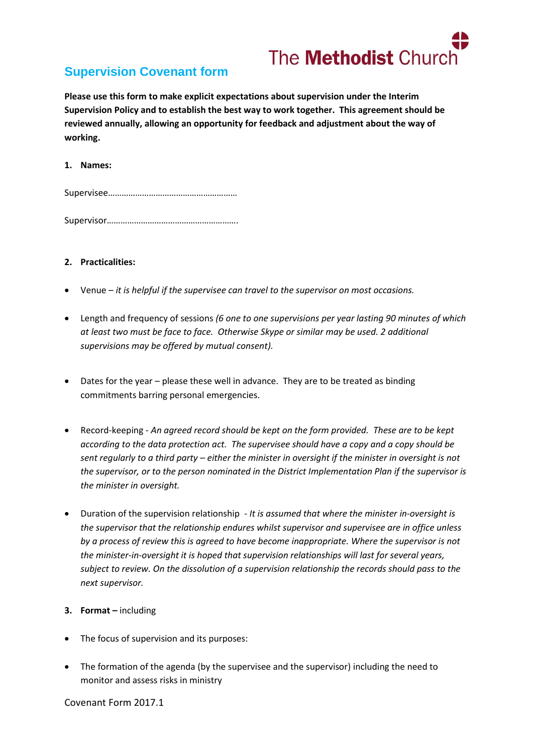

# **Supervision Covenant form**

**Please use this form to make explicit expectations about supervision under the Interim Supervision Policy and to establish the best way to work together. This agreement should be reviewed annually, allowing an opportunity for feedback and adjustment about the way of working.**

### **1. Names:**

Supervisee…………………………………………………

Supervisor………………………………………………….

## **2. Practicalities:**

- Venue *it is helpful if the supervisee can travel to the supervisor on most occasions.*
- Length and frequency of sessions *(6 one to one supervisions per year lasting 90 minutes of which at least two must be face to face. Otherwise Skype or similar may be used. 2 additional supervisions may be offered by mutual consent).*
- Dates for the year please these well in advance. They are to be treated as binding commitments barring personal emergencies.
- Record-keeping *An agreed record should be kept on the form provided. These are to be kept according to the data protection act. The supervisee should have a copy and a copy should be sent regularly to a third party – either the minister in oversight if the minister in oversight is not the supervisor, or to the person nominated in the District Implementation Plan if the supervisor is the minister in oversight.*
- Duration of the supervision relationship *It is assumed that where the minister in-oversight is the supervisor that the relationship endures whilst supervisor and supervisee are in office unless by a process of review this is agreed to have become inappropriate. Where the supervisor is not the minister-in-oversight it is hoped that supervision relationships will last for several years, subject to review. On the dissolution of a supervision relationship the records should pass to the next supervisor.*

#### **3. Format –** including

- The focus of supervision and its purposes:
- The formation of the agenda (by the supervisee and the supervisor) including the need to monitor and assess risks in ministry

Covenant Form 2017.1